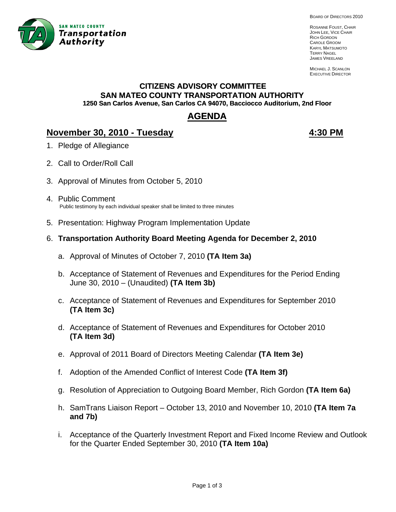

BOARD OF DIRECTORS 2010

ROSANNE FOUST, CHAIR JOHN LEE, VICE CHAIR RICH GORDON CAROLE GROOM KARYL MATSUMOTO TERRY NAGEL JAMES VREELAND

MICHAEL J. SCANLON EXECUTIVE DIRECTOR

# **CITIZENS ADVISORY COMMITTEE SAN MATEO COUNTY TRANSPORTATION AUTHORITY 1250 San Carlos Avenue, San Carlos CA 94070, Bacciocco Auditorium, 2nd Floor**

# **AGENDA**

# **November 30, 2010 - Tuesday 1999 12:30 PM**

- 1. Pledge of Allegiance
- 2. Call to Order/Roll Call
- 3. Approval of Minutes from October 5, 2010
- 4. Public Comment Public testimony by each individual speaker shall be limited to three minutes
- 5. Presentation: Highway Program Implementation Update
- 6. **Transportation Authority Board Meeting Agenda for December 2, 2010** 
	- a. Approval of Minutes of October 7, 2010 **(TA Item 3a)**
	- b. Acceptance of Statement of Revenues and Expenditures for the Period Ending June 30, 2010 – (Unaudited) **(TA Item 3b)**
	- c. Acceptance of Statement of Revenues and Expenditures for September 2010 **(TA Item 3c)**
	- d. Acceptance of Statement of Revenues and Expenditures for October 2010 **(TA Item 3d)**
	- e. Approval of 2011 Board of Directors Meeting Calendar **(TA Item 3e)**
	- f. Adoption of the Amended Conflict of Interest Code **(TA Item 3f)**
	- g. Resolution of Appreciation to Outgoing Board Member, Rich Gordon **(TA Item 6a)**
	- h. SamTrans Liaison Report October 13, 2010 and November 10, 2010 **(TA Item 7a and 7b)**
	- i. Acceptance of the Quarterly Investment Report and Fixed Income Review and Outlook for the Quarter Ended September 30, 2010 **(TA Item 10a)**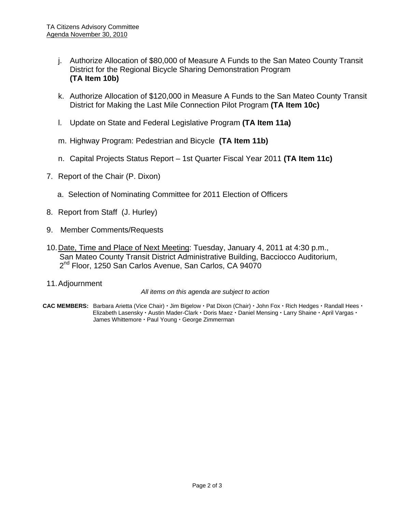- j. Authorize Allocation of \$80,000 of Measure A Funds to the San Mateo County Transit District for the Regional Bicycle Sharing Demonstration Program **(TA Item 10b)**
- k. Authorize Allocation of \$120,000 in Measure A Funds to the San Mateo County Transit District for Making the Last Mile Connection Pilot Program **(TA Item 10c)**
- l. Update on State and Federal Legislative Program **(TA Item 11a)**
- m. Highway Program: Pedestrian and Bicycle **(TA Item 11b)**
- n. Capital Projects Status Report 1st Quarter Fiscal Year 2011 **(TA Item 11c)**
- 7. Report of the Chair (P. Dixon)
	- a. Selection of Nominating Committee for 2011 Election of Officers
- 8. Report from Staff (J. Hurley)
- 9. Member Comments/Requests
- 10. Date, Time and Place of Next Meeting: Tuesday, January 4, 2011 at 4:30 p.m., San Mateo County Transit District Administrative Building, Bacciocco Auditorium, 2<sup>nd</sup> Floor, 1250 San Carlos Avenue, San Carlos, CA 94070
- 11. Adjournment

*All items on this agenda are subject to action* 

CAC MEMBERS: Barbara Arietta (Vice Chair) · Jim Bigelow · Pat Dixon (Chair) · John Fox · Rich Hedges · Randall Hees · Elizabeth Lasensky · Austin Mader-Clark · Doris Maez · Daniel Mensing · Larry Shaine · April Vargas · James Whittemore · Paul Young · George Zimmerman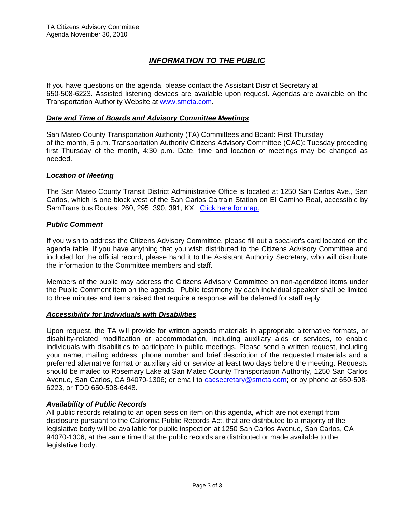# *INFORMATION TO THE PUBLIC*

If you have questions on the agenda, please contact the Assistant District Secretary at 650-508-6223. Assisted listening devices are available upon request. Agendas are available on the Transportation Authority Website at [www.smcta.com.](http://www.smcta.com/)

#### *Date and Time of Boards and Advisory Committee Meetings*

San Mateo County Transportation Authority (TA) Committees and Board: First Thursday of the month, 5 p.m. Transportation Authority Citizens Advisory Committee (CAC): Tuesday preceding first Thursday of the month, 4:30 p.m. Date, time and location of meetings may be changed as needed.

#### *Location of Meeting*

The San Mateo County Transit District Administrative Office is located at 1250 San Carlos Ave., San Carlos, which is one block west of the San Carlos Caltrain Station on El Camino Real, accessible by SamTrans bus Routes: 260, 295, 390, 391, KX. [Click here for map.](http://maps.google.com/maps?f=q&hl=en&geocode=&q=1250+San+Carlos+Ave,+San+Carlos,+CA+94070&sll=37.0625,-95.677068&sspn=33.077336,56.25&ie=UTF8&ll=37.507394,-122.261996&spn=0.008085,0.013733&z=16)

#### *Public Comment*

If you wish to address the Citizens Advisory Committee, please fill out a speaker's card located on the agenda table. If you have anything that you wish distributed to the Citizens Advisory Committee and included for the official record, please hand it to the Assistant Authority Secretary, who will distribute the information to the Committee members and staff.

Members of the public may address the Citizens Advisory Committee on non-agendized items under the Public Comment item on the agenda. Public testimony by each individual speaker shall be limited to three minutes and items raised that require a response will be deferred for staff reply.

#### *Accessibility for Individuals with Disabilities*

Upon request, the TA will provide for written agenda materials in appropriate alternative formats, or disability-related modification or accommodation, including auxiliary aids or services, to enable individuals with disabilities to participate in public meetings. Please send a written request, including your name, mailing address, phone number and brief description of the requested materials and a preferred alternative format or auxiliary aid or service at least two days before the meeting. Requests should be mailed to Rosemary Lake at San Mateo County Transportation Authority, 1250 San Carlos Avenue, San Carlos, CA 94070-1306; or email to **[cacsecretary@smcta.com](mailto:cacsecretary@smcta.com)**; or by phone at 650-508-6223, or TDD 650-508-6448.

#### *Availability of Public Records*

All public records relating to an open session item on this agenda, which are not exempt from disclosure pursuant to the California Public Records Act, that are distributed to a majority of the legislative body will be available for public inspection at 1250 San Carlos Avenue, San Carlos, CA 94070-1306, at the same time that the public records are distributed or made available to the legislative body.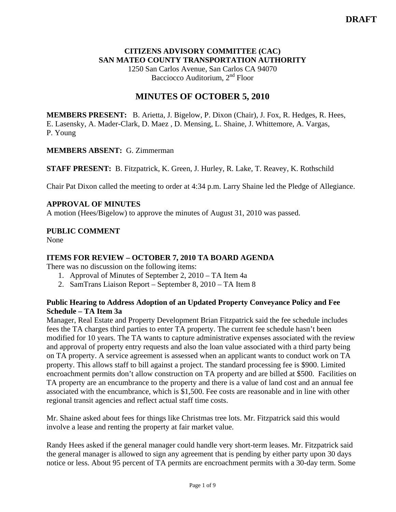# **CITIZENS ADVISORY COMMITTEE (CAC) SAN MATEO COUNTY TRANSPORTATION AUTHORITY**

1250 San Carlos Avenue, San Carlos CA 94070 Bacciocco Auditorium, 2nd Floor

# **MINUTES OF OCTOBER 5, 2010**

**MEMBERS PRESENT:** B. Arietta, J. Bigelow, P. Dixon (Chair), J. Fox, R. Hedges, R. Hees, E. Lasensky, A. Mader-Clark, D. Maez , D. Mensing, L. Shaine, J. Whittemore, A. Vargas, P. Young

# **MEMBERS ABSENT:** G. Zimmerman

**STAFF PRESENT:** B. Fitzpatrick, K. Green, J. Hurley, R. Lake, T. Reavey, K. Rothschild

Chair Pat Dixon called the meeting to order at 4:34 p.m. Larry Shaine led the Pledge of Allegiance.

# **APPROVAL OF MINUTES**

A motion (Hees/Bigelow) to approve the minutes of August 31, 2010 was passed.

# **PUBLIC COMMENT**

None

# **ITEMS FOR REVIEW – OCTOBER 7, 2010 TA BOARD AGENDA**

There was no discussion on the following items:

- 1. Approval of Minutes of September 2, 2010 TA Item 4a
- 2. SamTrans Liaison Report September 8, 2010 TA Item 8

# **Public Hearing to Address Adoption of an Updated Property Conveyance Policy and Fee Schedule – TA Item 3a**

Manager, Real Estate and Property Development Brian Fitzpatrick said the fee schedule includes fees the TA charges third parties to enter TA property. The current fee schedule hasn't been modified for 10 years. The TA wants to capture administrative expenses associated with the review and approval of property entry requests and also the loan value associated with a third party being on TA property. A service agreement is assessed when an applicant wants to conduct work on TA property. This allows staff to bill against a project. The standard processing fee is \$900. Limited encroachment permits don't allow construction on TA property and are billed at \$500. Facilities on TA property are an encumbrance to the property and there is a value of land cost and an annual fee associated with the encumbrance, which is \$1,500. Fee costs are reasonable and in line with other regional transit agencies and reflect actual staff time costs.

Mr. Shaine asked about fees for things like Christmas tree lots. Mr. Fitzpatrick said this would involve a lease and renting the property at fair market value.

Randy Hees asked if the general manager could handle very short-term leases. Mr. Fitzpatrick said the general manager is allowed to sign any agreement that is pending by either party upon 30 days notice or less. About 95 percent of TA permits are encroachment permits with a 30-day term. Some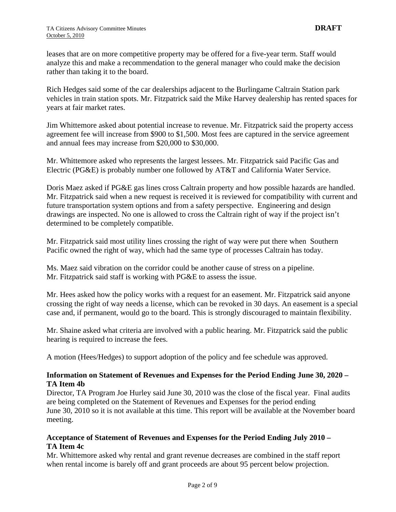leases that are on more competitive property may be offered for a five-year term. Staff would analyze this and make a recommendation to the general manager who could make the decision rather than taking it to the board.

Rich Hedges said some of the car dealerships adjacent to the Burlingame Caltrain Station park vehicles in train station spots. Mr. Fitzpatrick said the Mike Harvey dealership has rented spaces for years at fair market rates.

Jim Whittemore asked about potential increase to revenue. Mr. Fitzpatrick said the property access agreement fee will increase from \$900 to \$1,500. Most fees are captured in the service agreement and annual fees may increase from \$20,000 to \$30,000.

Mr. Whittemore asked who represents the largest lessees. Mr. Fitzpatrick said Pacific Gas and Electric (PG&E) is probably number one followed by AT&T and California Water Service.

Doris Maez asked if PG&E gas lines cross Caltrain property and how possible hazards are handled. Mr. Fitzpatrick said when a new request is received it is reviewed for compatibility with current and future transportation system options and from a safety perspective. Engineering and design drawings are inspected. No one is allowed to cross the Caltrain right of way if the project isn't determined to be completely compatible.

Mr. Fitzpatrick said most utility lines crossing the right of way were put there when Southern Pacific owned the right of way, which had the same type of processes Caltrain has today.

Ms. Maez said vibration on the corridor could be another cause of stress on a pipeline. Mr. Fitzpatrick said staff is working with PG&E to assess the issue.

Mr. Hees asked how the policy works with a request for an easement. Mr. Fitzpatrick said anyone crossing the right of way needs a license, which can be revoked in 30 days. An easement is a special case and, if permanent, would go to the board. This is strongly discouraged to maintain flexibility.

Mr. Shaine asked what criteria are involved with a public hearing. Mr. Fitzpatrick said the public hearing is required to increase the fees.

A motion (Hees/Hedges) to support adoption of the policy and fee schedule was approved.

# **Information on Statement of Revenues and Expenses for the Period Ending June 30, 2020 – TA Item 4b**

Director, TA Program Joe Hurley said June 30, 2010 was the close of the fiscal year. Final audits are being completed on the Statement of Revenues and Expenses for the period ending June 30, 2010 so it is not available at this time. This report will be available at the November board meeting.

### **Acceptance of Statement of Revenues and Expenses for the Period Ending July 2010 – TA Item 4c**

Mr. Whittemore asked why rental and grant revenue decreases are combined in the staff report when rental income is barely off and grant proceeds are about 95 percent below projection.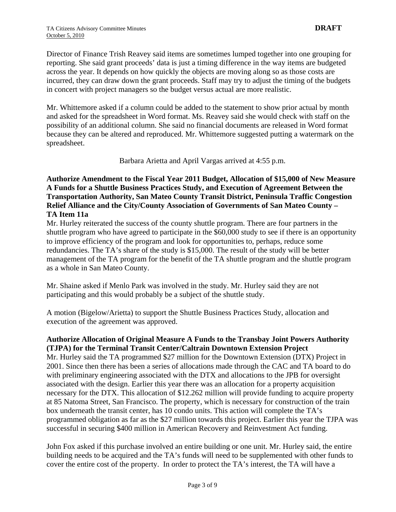Director of Finance Trish Reavey said items are sometimes lumped together into one grouping for reporting. She said grant proceeds' data is just a timing difference in the way items are budgeted across the year. It depends on how quickly the objects are moving along so as those costs are incurred, they can draw down the grant proceeds. Staff may try to adjust the timing of the budgets in concert with project managers so the budget versus actual are more realistic.

Mr. Whittemore asked if a column could be added to the statement to show prior actual by month and asked for the spreadsheet in Word format. Ms. Reavey said she would check with staff on the possibility of an additional column. She said no financial documents are released in Word format because they can be altered and reproduced. Mr. Whittemore suggested putting a watermark on the spreadsheet.

Barbara Arietta and April Vargas arrived at 4:55 p.m.

# **Authorize Amendment to the Fiscal Year 2011 Budget, Allocation of \$15,000 of New Measure A Funds for a Shuttle Business Practices Study, and Execution of Agreement Between the Transportation Authority, San Mateo County Transit District, Peninsula Traffic Congestion Relief Alliance and the City/County Association of Governments of San Mateo County – TA Item 11a**

Mr. Hurley reiterated the success of the county shuttle program. There are four partners in the shuttle program who have agreed to participate in the \$60,000 study to see if there is an opportunity to improve efficiency of the program and look for opportunities to, perhaps, reduce some redundancies. The TA's share of the study is \$15,000. The result of the study will be better management of the TA program for the benefit of the TA shuttle program and the shuttle program as a whole in San Mateo County.

Mr. Shaine asked if Menlo Park was involved in the study. Mr. Hurley said they are not participating and this would probably be a subject of the shuttle study.

A motion (Bigelow/Arietta) to support the Shuttle Business Practices Study, allocation and execution of the agreement was approved.

# **Authorize Allocation of Original Measure A Funds to the Transbay Joint Powers Authority (TJPA) for the Terminal Transit Center/Caltrain Downtown Extension Project**

Mr. Hurley said the TA programmed \$27 million for the Downtown Extension (DTX) Project in 2001. Since then there has been a series of allocations made through the CAC and TA board to do with preliminary engineering associated with the DTX and allocations to the JPB for oversight associated with the design. Earlier this year there was an allocation for a property acquisition necessary for the DTX. This allocation of \$12.262 million will provide funding to acquire property at 85 Natoma Street, San Francisco. The property, which is necessary for construction of the train box underneath the transit center, has 10 condo units. This action will complete the TA's programmed obligation as far as the \$27 million towards this project. Earlier this year the TJPA was successful in securing \$400 million in American Recovery and Reinvestment Act funding.

John Fox asked if this purchase involved an entire building or one unit. Mr. Hurley said, the entire building needs to be acquired and the TA's funds will need to be supplemented with other funds to cover the entire cost of the property. In order to protect the TA's interest, the TA will have a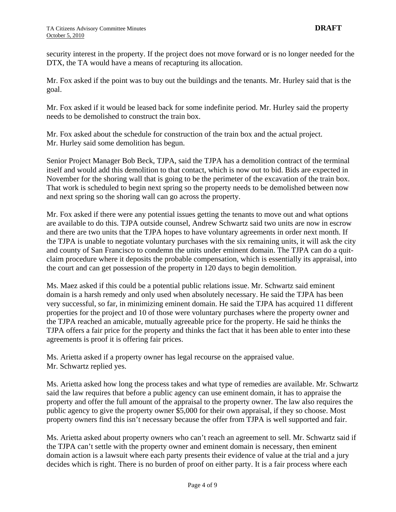security interest in the property. If the project does not move forward or is no longer needed for the DTX, the TA would have a means of recapturing its allocation.

Mr. Fox asked if the point was to buy out the buildings and the tenants. Mr. Hurley said that is the goal.

Mr. Fox asked if it would be leased back for some indefinite period. Mr. Hurley said the property needs to be demolished to construct the train box.

Mr. Fox asked about the schedule for construction of the train box and the actual project. Mr. Hurley said some demolition has begun.

Senior Project Manager Bob Beck, TJPA, said the TJPA has a demolition contract of the terminal itself and would add this demolition to that contact, which is now out to bid. Bids are expected in November for the shoring wall that is going to be the perimeter of the excavation of the train box. That work is scheduled to begin next spring so the property needs to be demolished between now and next spring so the shoring wall can go across the property.

Mr. Fox asked if there were any potential issues getting the tenants to move out and what options are available to do this. TJPA outside counsel, Andrew Schwartz said two units are now in escrow and there are two units that the TJPA hopes to have voluntary agreements in order next month. If the TJPA is unable to negotiate voluntary purchases with the six remaining units, it will ask the city and county of San Francisco to condemn the units under eminent domain. The TJPA can do a quitclaim procedure where it deposits the probable compensation, which is essentially its appraisal, into the court and can get possession of the property in 120 days to begin demolition.

Ms. Maez asked if this could be a potential public relations issue. Mr. Schwartz said eminent domain is a harsh remedy and only used when absolutely necessary. He said the TJPA has been very successful, so far, in minimizing eminent domain. He said the TJPA has acquired 11 different properties for the project and 10 of those were voluntary purchases where the property owner and the TJPA reached an amicable, mutually agreeable price for the property. He said he thinks the TJPA offers a fair price for the property and thinks the fact that it has been able to enter into these agreements is proof it is offering fair prices.

Ms. Arietta asked if a property owner has legal recourse on the appraised value. Mr. Schwartz replied yes.

Ms. Arietta asked how long the process takes and what type of remedies are available. Mr. Schwartz said the law requires that before a public agency can use eminent domain, it has to appraise the property and offer the full amount of the appraisal to the property owner. The law also requires the public agency to give the property owner \$5,000 for their own appraisal, if they so choose. Most property owners find this isn't necessary because the offer from TJPA is well supported and fair.

Ms. Arietta asked about property owners who can't reach an agreement to sell. Mr. Schwartz said if the TJPA can't settle with the property owner and eminent domain is necessary, then eminent domain action is a lawsuit where each party presents their evidence of value at the trial and a jury decides which is right. There is no burden of proof on either party. It is a fair process where each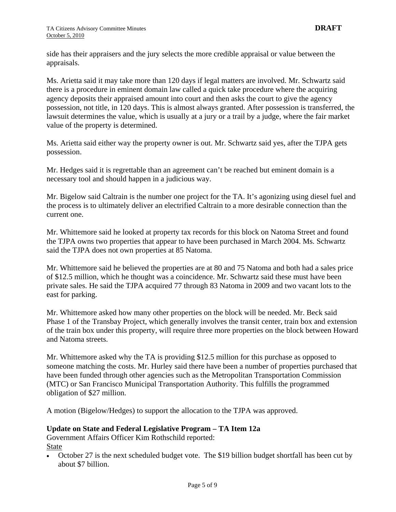side has their appraisers and the jury selects the more credible appraisal or value between the appraisals.

Ms. Arietta said it may take more than 120 days if legal matters are involved. Mr. Schwartz said there is a procedure in eminent domain law called a quick take procedure where the acquiring agency deposits their appraised amount into court and then asks the court to give the agency possession, not title, in 120 days. This is almost always granted. After possession is transferred, the lawsuit determines the value, which is usually at a jury or a trail by a judge, where the fair market value of the property is determined.

Ms. Arietta said either way the property owner is out. Mr. Schwartz said yes, after the TJPA gets possession.

Mr. Hedges said it is regrettable than an agreement can't be reached but eminent domain is a necessary tool and should happen in a judicious way.

Mr. Bigelow said Caltrain is the number one project for the TA. It's agonizing using diesel fuel and the process is to ultimately deliver an electrified Caltrain to a more desirable connection than the current one.

Mr. Whittemore said he looked at property tax records for this block on Natoma Street and found the TJPA owns two properties that appear to have been purchased in March 2004. Ms. Schwartz said the TJPA does not own properties at 85 Natoma.

Mr. Whittemore said he believed the properties are at 80 and 75 Natoma and both had a sales price of \$12.5 million, which he thought was a coincidence. Mr. Schwartz said these must have been private sales. He said the TJPA acquired 77 through 83 Natoma in 2009 and two vacant lots to the east for parking.

Mr. Whittemore asked how many other properties on the block will be needed. Mr. Beck said Phase 1 of the Transbay Project, which generally involves the transit center, train box and extension of the train box under this property, will require three more properties on the block between Howard and Natoma streets.

Mr. Whittemore asked why the TA is providing \$12.5 million for this purchase as opposed to someone matching the costs. Mr. Hurley said there have been a number of properties purchased that have been funded through other agencies such as the Metropolitan Transportation Commission (MTC) or San Francisco Municipal Transportation Authority. This fulfills the programmed obligation of \$27 million.

A motion (Bigelow/Hedges) to support the allocation to the TJPA was approved.

### **Update on State and Federal Legislative Program – TA Item 12a**

Government Affairs Officer Kim Rothschild reported: State

• October 27 is the next scheduled budget vote. The \$19 billion budget shortfall has been cut by about \$7 billion.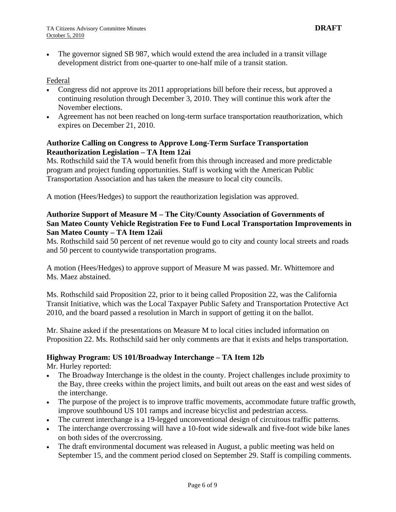The governor signed SB 987, which would extend the area included in a transit village development district from one-quarter to one-half mile of a transit station.

#### Federal

- Congress did not approve its 2011 appropriations bill before their recess, but approved a continuing resolution through December 3, 2010. They will continue this work after the November elections.
- Agreement has not been reached on long-term surface transportation reauthorization, which expires on December 21, 2010.

#### **Authorize Calling on Congress to Approve Long-Term Surface Transportation Reauthorization Legislation – TA Item 12ai**

Ms. Rothschild said the TA would benefit from this through increased and more predictable program and project funding opportunities. Staff is working with the American Public Transportation Association and has taken the measure to local city councils.

A motion (Hees/Hedges) to support the reauthorization legislation was approved.

# **Authorize Support of Measure M – The City/County Association of Governments of San Mateo County Vehicle Registration Fee to Fund Local Transportation Improvements in San Mateo County – TA Item 12aii**

Ms. Rothschild said 50 percent of net revenue would go to city and county local streets and roads and 50 percent to countywide transportation programs.

A motion (Hees/Hedges) to approve support of Measure M was passed. Mr. Whittemore and Ms. Maez abstained.

Ms. Rothschild said Proposition 22, prior to it being called Proposition 22, was the California Transit Initiative, which was the Local Taxpayer Public Safety and Transportation Protective Act 2010, and the board passed a resolution in March in support of getting it on the ballot.

Mr. Shaine asked if the presentations on Measure M to local cities included information on Proposition 22. Ms. Rothschild said her only comments are that it exists and helps transportation.

### **Highway Program: US 101/Broadway Interchange – TA Item 12b**

Mr. Hurley reported:

- The Broadway Interchange is the oldest in the county. Project challenges include proximity to the Bay, three creeks within the project limits, and built out areas on the east and west sides of the interchange.
- The purpose of the project is to improve traffic movements, accommodate future traffic growth, improve southbound US 101 ramps and increase bicyclist and pedestrian access.
- The current interchange is a 19-legged unconventional design of circuitous traffic patterns.
- The interchange overcrossing will have a 10-foot wide sidewalk and five-foot wide bike lanes on both sides of the overcrossing.
- The draft environmental document was released in August, a public meeting was held on September 15, and the comment period closed on September 29. Staff is compiling comments.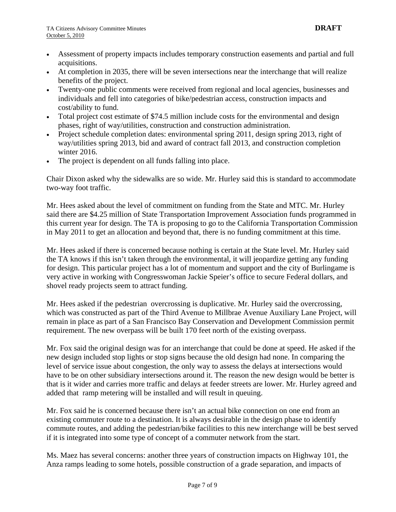- Assessment of property impacts includes temporary construction easements and partial and full acquisitions.
- At completion in 2035, there will be seven intersections near the interchange that will realize benefits of the project.
- Twenty-one public comments were received from regional and local agencies, businesses and individuals and fell into categories of bike/pedestrian access, construction impacts and cost/ability to fund.
- Total project cost estimate of \$74.5 million include costs for the environmental and design phases, right of way/utilities, construction and construction administration.
- Project schedule completion dates: environmental spring 2011, design spring 2013, right of way/utilities spring 2013, bid and award of contract fall 2013, and construction completion winter 2016.
- The project is dependent on all funds falling into place.

Chair Dixon asked why the sidewalks are so wide. Mr. Hurley said this is standard to accommodate two-way foot traffic.

Mr. Hees asked about the level of commitment on funding from the State and MTC. Mr. Hurley said there are \$4.25 million of State Transportation Improvement Association funds programmed in this current year for design. The TA is proposing to go to the California Transportation Commission in May 2011 to get an allocation and beyond that, there is no funding commitment at this time.

Mr. Hees asked if there is concerned because nothing is certain at the State level. Mr. Hurley said the TA knows if this isn't taken through the environmental, it will jeopardize getting any funding for design. This particular project has a lot of momentum and support and the city of Burlingame is very active in working with Congresswoman Jackie Speier's office to secure Federal dollars, and shovel ready projects seem to attract funding.

Mr. Hees asked if the pedestrian overcrossing is duplicative. Mr. Hurley said the overcrossing, which was constructed as part of the Third Avenue to Millbrae Avenue Auxiliary Lane Project, will remain in place as part of a San Francisco Bay Conservation and Development Commission permit requirement. The new overpass will be built 170 feet north of the existing overpass.

Mr. Fox said the original design was for an interchange that could be done at speed. He asked if the new design included stop lights or stop signs because the old design had none. In comparing the level of service issue about congestion, the only way to assess the delays at intersections would have to be on other subsidiary intersections around it. The reason the new design would be better is that is it wider and carries more traffic and delays at feeder streets are lower. Mr. Hurley agreed and added that ramp metering will be installed and will result in queuing.

Mr. Fox said he is concerned because there isn't an actual bike connection on one end from an existing commuter route to a destination. It is always desirable in the design phase to identify commute routes, and adding the pedestrian/bike facilities to this new interchange will be best served if it is integrated into some type of concept of a commuter network from the start.

Ms. Maez has several concerns: another three years of construction impacts on Highway 101, the Anza ramps leading to some hotels, possible construction of a grade separation, and impacts of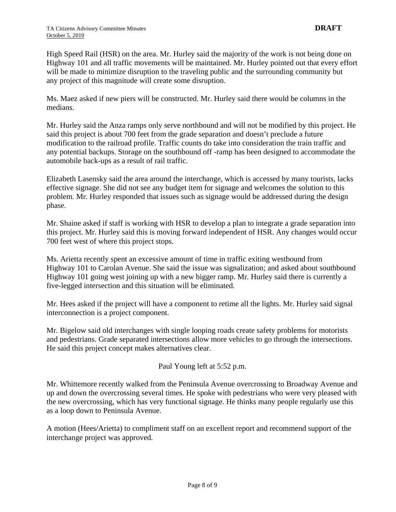High Speed Rail (HSR) on the area. Mr. Hurley said the majority of the work is not being done on Highway 101 and all traffic movements will be maintained. Mr. Hurley pointed out that every effort will be made to minimize disruption to the traveling public and the surrounding community but any project of this magnitude will create some disruption.

Ms. Maez asked if new piers will be constructed. Mr. Hurley said there would be columns in the medians.

Mr. Hurley said the Anza ramps only serve northbound and will not be modified by this project. He said this project is about 700 feet from the grade separation and doesn't preclude a future modification to the railroad profile. Traffic counts do take into consideration the train traffic and any potential backups. Storage on the southbound off -ramp has been designed to accommodate the automobile back-ups as a result of rail traffic.

Elizabeth Lasensky said the area around the interchange, which is accessed by many tourists, lacks effective signage. She did not see any budget item for signage and welcomes the solution to this problem. Mr. Hurley responded that issues such as signage would be addressed during the design phase.

Mr. Shaine asked if staff is working with HSR to develop a plan to integrate a grade separation into this project. Mr. Hurley said this is moving forward independent of HSR. Any changes would occur 700 feet west of where this project stops.

Ms. Arietta recently spent an excessive amount of time in traffic exiting westbound from Highway 101 to Carolan Avenue. She said the issue was signalization; and asked about southbound Highway 101 going west joining up with a new bigger ramp. Mr. Hurley said there is currently a five-legged intersection and this situation will be eliminated.

Mr. Hees asked if the project will have a component to retime all the lights. Mr. Hurley said signal interconnection is a project component.

Mr. Bigelow said old interchanges with single looping roads create safety problems for motorists and pedestrians. Grade separated intersections allow more vehicles to go through the intersections. He said this project concept makes alternatives clear.

Paul Young left at 5:52 p.m.

Mr. Whittemore recently walked from the Peninsula Avenue overcrossing to Broadway Avenue and up and down the overcrossing several times. He spoke with pedestrians who were very pleased with the new overcrossing, which has very functional signage. He thinks many people regularly use this as a loop down to Peninsula Avenue.

A motion (Hees/Arietta) to compliment staff on an excellent report and recommend support of the interchange project was approved.